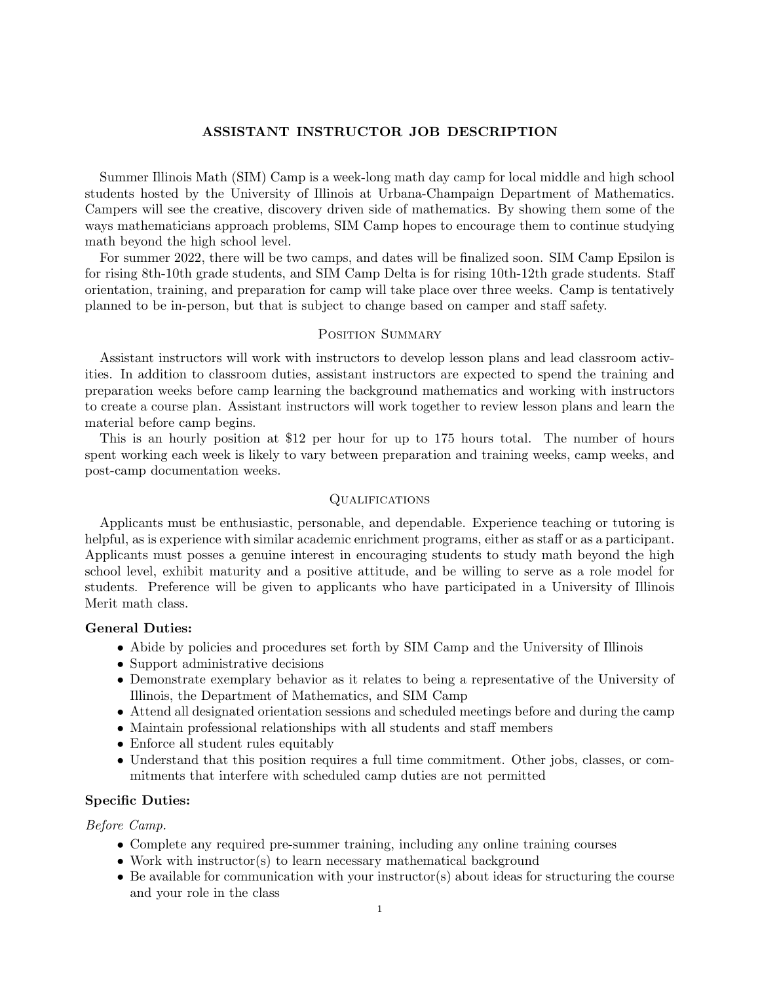# ASSISTANT INSTRUCTOR JOB DESCRIPTION

Summer Illinois Math (SIM) Camp is a week-long math day camp for local middle and high school students hosted by the University of Illinois at Urbana-Champaign Department of Mathematics. Campers will see the creative, discovery driven side of mathematics. By showing them some of the ways mathematicians approach problems, SIM Camp hopes to encourage them to continue studying math beyond the high school level.

For summer 2022, there will be two camps, and dates will be finalized soon. SIM Camp Epsilon is for rising 8th-10th grade students, and SIM Camp Delta is for rising 10th-12th grade students. Staff orientation, training, and preparation for camp will take place over three weeks. Camp is tentatively planned to be in-person, but that is subject to change based on camper and staff safety.

# POSITION SUMMARY

Assistant instructors will work with instructors to develop lesson plans and lead classroom activities. In addition to classroom duties, assistant instructors are expected to spend the training and preparation weeks before camp learning the background mathematics and working with instructors to create a course plan. Assistant instructors will work together to review lesson plans and learn the material before camp begins.

This is an hourly position at \$12 per hour for up to 175 hours total. The number of hours spent working each week is likely to vary between preparation and training weeks, camp weeks, and post-camp documentation weeks.

### **QUALIFICATIONS**

Applicants must be enthusiastic, personable, and dependable. Experience teaching or tutoring is helpful, as is experience with similar academic enrichment programs, either as staff or as a participant. Applicants must posses a genuine interest in encouraging students to study math beyond the high school level, exhibit maturity and a positive attitude, and be willing to serve as a role model for students. Preference will be given to applicants who have participated in a University of Illinois Merit math class.

#### General Duties:

- Abide by policies and procedures set forth by SIM Camp and the University of Illinois
- Support administrative decisions
- Demonstrate exemplary behavior as it relates to being a representative of the University of Illinois, the Department of Mathematics, and SIM Camp
- Attend all designated orientation sessions and scheduled meetings before and during the camp
- Maintain professional relationships with all students and staff members
- Enforce all student rules equitably
- Understand that this position requires a full time commitment. Other jobs, classes, or commitments that interfere with scheduled camp duties are not permitted

### Specific Duties:

Before Camp.

- Complete any required pre-summer training, including any online training courses
- Work with instructor(s) to learn necessary mathematical background
- Be available for communication with your instructor(s) about ideas for structuring the course and your role in the class